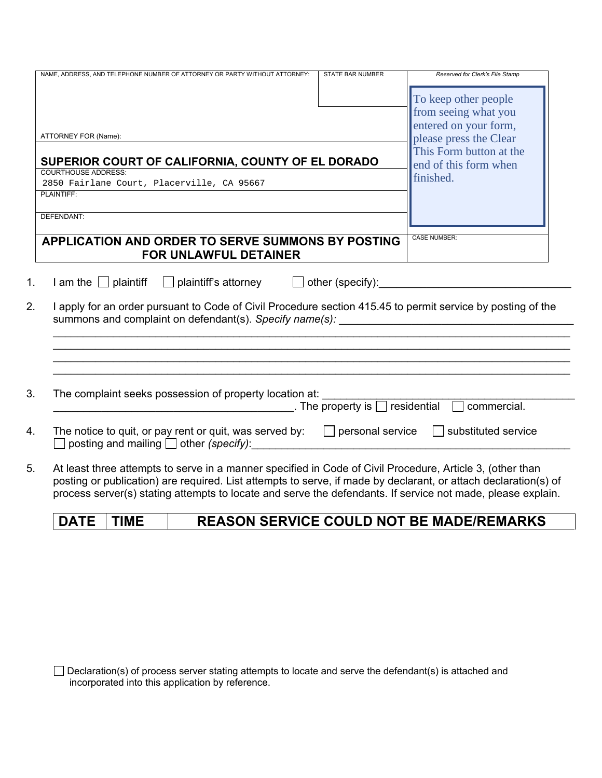| NAME, ADDRESS, AND TELEPHONE NUMBER OF ATTORNEY OR PARTY WITHOUT ATTORNEY:                                                                                                                                                                                                                                                                  | <b>STATE BAR NUMBER</b>                      | Reserved for Clerk's File Stamp |
|---------------------------------------------------------------------------------------------------------------------------------------------------------------------------------------------------------------------------------------------------------------------------------------------------------------------------------------------|----------------------------------------------|---------------------------------|
|                                                                                                                                                                                                                                                                                                                                             |                                              | To keep other people            |
|                                                                                                                                                                                                                                                                                                                                             |                                              | from seeing what you            |
|                                                                                                                                                                                                                                                                                                                                             |                                              | entered on your form,           |
| ATTORNEY FOR (Name):                                                                                                                                                                                                                                                                                                                        |                                              | please press the Clear          |
|                                                                                                                                                                                                                                                                                                                                             |                                              | This Form button at the         |
| SUPERIOR COURT OF CALIFORNIA, COUNTY OF EL DORADO                                                                                                                                                                                                                                                                                           |                                              | end of this form when           |
| <b>COURTHOUSE ADDRESS:</b>                                                                                                                                                                                                                                                                                                                  |                                              | finished.                       |
| 2850 Fairlane Court, Placerville, CA 95667<br>PLAINTIFF:                                                                                                                                                                                                                                                                                    |                                              |                                 |
|                                                                                                                                                                                                                                                                                                                                             |                                              |                                 |
| DEFENDANT:                                                                                                                                                                                                                                                                                                                                  |                                              |                                 |
|                                                                                                                                                                                                                                                                                                                                             |                                              |                                 |
| APPLICATION AND ORDER TO SERVE SUMMONS BY POSTING                                                                                                                                                                                                                                                                                           |                                              | <b>CASE NUMBER:</b>             |
| <b>FOR UNLAWFUL DETAINER</b>                                                                                                                                                                                                                                                                                                                |                                              |                                 |
| I apply for an order pursuant to Code of Civil Procedure section 415.45 to permit service by posting of the                                                                                                                                                                                                                                 |                                              |                                 |
|                                                                                                                                                                                                                                                                                                                                             |                                              |                                 |
| The complaint seeks possession of property location at:                                                                                                                                                                                                                                                                                     | _. The property is $\Box$ residential $\Box$ | commercial.                     |
| The notice to quit, or pay rent or quit, was served by: $\Box$ personal service $\Box$ substituted service<br>posting and mailing $\Box$ other (specify):                                                                                                                                                                                   |                                              |                                 |
| At least three attempts to serve in a manner specified in Code of Civil Procedure, Article 3, (other than<br>posting or publication) are required. List attempts to serve, if made by declarant, or attach declaration(s) of<br>process server(s) stating attempts to locate and serve the defendants. If service not made, please explain. |                                              |                                 |

## **DATE TIME REASON SERVICE COULD NOT BE MADE/REMARKS**

| $\Box$ Declaration(s) of process server stating attempts to locate and serve the defendant(s) is attached and |  |
|---------------------------------------------------------------------------------------------------------------|--|
| incorporated into this application by reference.                                                              |  |